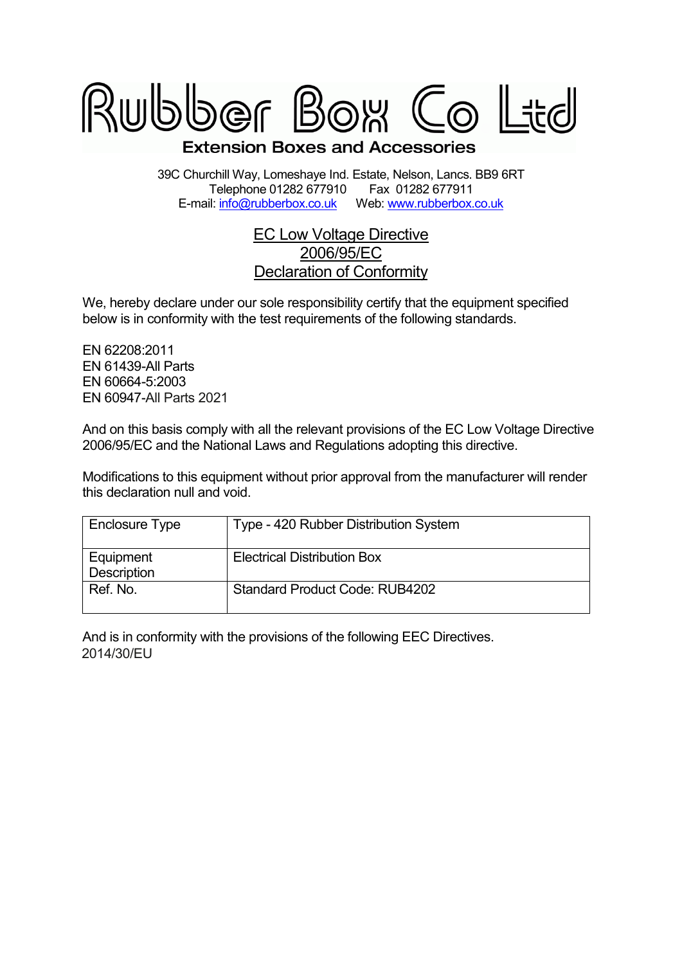

39C Churchill Way, Lomeshaye Ind. Estate, Nelson, Lancs. BB9 6RT Telephone 01282 677910 Fax 01282 677911<br>il: info@rubberbox.co.uk Web: www.rubberbox.co.uk E-mail: info@rubberbox.co.uk

## EC Low Voltage Directive 2006/95/EC Declaration of Conformity

We, hereby declare under our sole responsibility certify that the equipment specified below is in conformity with the test requirements of the following standards.

EN 62208:2011 EN 61439-All Parts EN 60664-5:2003 EN 60947-All Parts All 2021

And on this basis comply with all the relevant provisions of the EC Low Voltage Directive 2006/95/EC and the National Laws and Regulations adopting this directive.

Modifications to this equipment without prior approval from the manufacturer will render this declaration null and void.

| Enclosure Type           | Type - 420 Rubber Distribution System |
|--------------------------|---------------------------------------|
| Equipment<br>Description | <b>Electrical Distribution Box</b>    |
| Ref. No.                 | <b>Standard Product Code: RUB4202</b> |

And is in conformity with the provisions of the following EEC Directives. 2014/30/EU